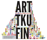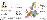#### **DODDOE** MVVVVVV**VACAOILLU**O-EL



### A SAMPLE OF CONTEMPORARY ARTS IN THE TURKU REGION

*Turku, located in the South-West corner of Finland by the Archipelago Sea is the fifth largest city in Finland with its population of about 175,000 inhabitants. Turku has always served as a gate for Western cultural infl uences into Finland, and the contemporary visual arts in the Turku region today are strong and diversified. The region is active in all fields connected to contem porary art: education, research, exhibitions, events, museums, galleries, communities and artist run organisations.*

# ART ASSOCIATIONS

*There are several art associations for professional artists in Turku. Most of the artists are involved in at least one of the regional associations as well as in one of the national associations. There are approximately 150 professional artists altogether in the Turku region.*

*The associations run their own galleries and residencies and organize events. They also diligently keep their members informed about upcoming events etc.*

#### MUSEUMS

*Turku has three major museums for contemporary art: the Turku Art Museum, Aboa Vetus & Ars Nova and Wäinö Aaltonen Museum. The museums' exhibitions range from large international group exhibitions and thematic exhibitions to focused retrospectives of national heroes.* 

#### **EDUCATION**

*The Turku School of Fine Arts was established in 1830 and was the fi rst in Finland. At present the school is called Turku Arts Academy and is part of Turku University of Applied Sciences. The Degree Programme*  of Fine Arts offer four year studies of *photography and fine arts with high quality, is active part of local and national art field and has good connections abroad. Turku also has two universities with art history as a curriculum subject.*

#### ARTS COUNCIL OF SOUTH-WEST FINLAND

*The Arts Council of South-West Finland promotes and supports arts in its region by awarding grants, organizing development projects and offering information, expertise and contacts for artists and art-based projects. A Regional Arts Council is the local representative of the national arts administration of the state of Finland.*

#### 2011. CULTURE? WHAT'S THAT? IN 2011, YOU WILL HAVE THE WHOLE YEAR TO FIND OUT.

*In 2011, Turku is the European Capital of Culture and each day of the year is fi lled with abundant reasons to visit the city. Turku 2011 comprises about 150 projects and a multitude of individual events. The year promises to offer international names and local stars, grand events and smaller encounters, one-night shows and sustaining cultural relationships.* 

*The Capital of Culture year will be constructed by many competent hands and burning hearts. Among the contributors are the residents of Turku, a large group of cultural enthusiasts, and the city of Tallinn, Estonia, the other Capital of Culture in 2011.* 



### TURKU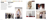#### 100 ADDDDICOOODD GERMAN WOOYY YN COOOP FEIGO OF FEIGO

### B-GALLERIA

*—B-galleria is a non-profi t art gallery founded in 2004 and run by a group of artists, designers, graphic artists, musicians, and cultural activists. The main purpose of the gallery is to provide an inexpensive and easily approachable gallery space for young emerging artists and their ideas. The gallery doubles as a project room for gigs, fi lm screenings, lectures, workshops and other art activities and happenings. Bgalleria has also collaborated with several international artists and galleries.*



Elina Minn: Paper installation, 2008



Hertta Kiiski: Your right, 2009 Margarita Rosselló Ramón: Pig, 2009



Ulla Maija Pitkänen: Koivun herkkä iho, 2009







### CONTACT INFORMATION

B-galleria Aninkaistenkatu 5 L 5 20100 Turku Finland

Tel. +358 (0) 442 845 381 bgalleria@gmail.com http://bgalleria.net

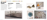#### 100 AMMMOOODOGEED (WWW.YYYYACOCOPE-E40+4 F

## JÖÖTTI - SCULPTORS **ASSOCIATION**

*—Jöötti's bronze casting foundry was founded by sculptors in Turku in 1990, and has been operating since. The association runs a versatile, well-equipped art foundry in the old army barracks area of Pääskyvuori. The foundry is designed with work*  safety, ergonomics and fire safety in mind. *As members Jöötti accepts professional artists with a proficiency in cire perdue bronze casting. Jöötti also organizes exhibitions and workshops.*

#### THE SCULPTORS

*Béla Czitrom, Outi Eronen, Kari-Petteri Kakko, Veikko Karskela, Sinikka Mäki-Lertola, Erik Mäkinen, Mika Natri, Maarit Nissilä, Markku Ojala, Sampo Parkkonen, Merja Pitkänen, Jani Rättyä, Sofi a Saari, Jyri Sammallahti, Silja Selonen, Juhana Tainio and Juha Welling*





Mika Natri: Rubbery Fields Forever, plastic and rubber, 2008 Sinikka Mäki-Lertola: Structure II, 2009, bronze Meria Pitkänen: Troop, 2008, aluminium, iron, installation







Maarit Nissilä: Jompi-kumpi and Kölli, 2007, bronze Jani Rättyä: I receive (ochre) 2009, plaster pigment wood



### CONTACT INFORMATION

Pronssivalimo Pääskyvuoren kasarmi **Talvitie** 20610 Turku Finland

puheenjohtaja@jootti.org sihteeri@jootti.org www.jootti.org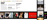

#### **BOOT ANNING DOOR ONE COMPANY**

## PHOTOGRAPHIC CENTRE PERI

*—Photographic Centre Peri is a regional photographic centre founded in 1987 to operate in the southwest region of Finland and in Turku district.*

*The main function of the photographic centre is to promote and develop photographic art and culture in the region. The centre has an extensive exhibition program presenting approximately 12 exhibitions a year of Finnish and international contem-*

Photograps by Photograps<br>(from left)

n/ **STATISTICS** 

#### CONTACT INFORMATION

Photographic Centre Peri Itäinen Rantakatu 38 20810 Turku Finland

Tel. + 358 (0) 226 208 50 info@peri.fi www.peri.fi





*porary photographic and video art. Photographic Centre Peri also runs an artist in residence program, organizes seminars and various projects exploring photographic art.*

### WWW.KATSE.ORG

*katse.org is a web magazine published by Peri focusing on Finnish photography and photographic research.*

Wilma Hurskainen, Elina Relander, Tamara Piilola, Luce Moreau, Nanna Saarhelo, Marko Karo

(from top) Katerina Mistal, Iina Esko, Juliana Harkki Sasu Sorkio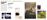

Laura Miettinen: Solitude, 2008, pigment transfer and acrylic on MDF board (detail)

#### 100 ANNINICOOOD CERTIFY TYPES OF FICTION

### TURKU PRINTMAKERS **ASSOCIATION**



Marita Mikkonen: Bridge to the forest with the lilies of the valley 2008, lithography, rolling from a wood plate



Matti Helenius: Tattered Heart, 2008, collagraphy

Tel. +358 (0) 223 299 96 www.turun-taidegraafikot.fi ttg@turun-taidegraafikot.fi

*—The Turku Printmakers Association is a professional printmakers' organization, the aim of which is to promote graphic art. The association was founded in 1933, and has 93 artist members. It runs its own gallery Joella, which has 14 exhibitions annually. All artists can apply for an exhibition in the gallery. The association organizes group exhibitions in Finland as well as abroad annually, and maintains contacts with European printmakers associations. The association has its own printmaking studio, which is open also for non-members.*



Tonja Goldblatt: Autumn, 2007 engraving and ink on a window frame



Markku Haanpää: Family tree, 2008, cyanotype

### CONTACT INFORMATION

Galleria Joella Läntinen Rantakatu 21 20100 Turku Finland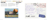#### **MATANAZIO AU**

### GALLERY TITANIK

*—Artists' Association Arte has its own artist-run gallery space Gallery Titanik in the very heart of Turku on the banks of the Aura River. The gallery was established in 1988 in a space previously occupied by a public lavatory. Since its founding, Gallery*  CONTACT INFORMATION Gallery Titanik Itäinen Rantakatu 8 20700 Turku

Finland



SUOMI - FINLAN  $Hi!$ We would like to receive a postcard from you. Feel free to write anything you want, about your hobbies for example. Definite answer to everyone! Regards Titanik personnel Our address

TITANIK

**12**  $-$  *art tku fin*  $-$  **13** 



www.titanik.fi

*Titanik has introduced good quality contemporary art, hosted hundreds of interesting exhibitions and acted as an alternative choice in the local art scene. Besides exhibitions the gallery*  space contains the office of Arte as well as the *Sumu Residence studio.*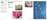#### 100 ADDIDICACOOD CEEDINA VALUE VY VYACOOOD BEI 40 - 4 B

# GALLERY Å

*—Turku Artists' Association is the oldest and largest artists' association in Turku. It is artist-run and has over 160 members. The main purpose of the organization is to look after the interests of artists and to promote both art and artists.*

*The association runs its own gallery, Gallery Å, in Turku. The gallery has around 14 exhibitions a year, with emphasis on present-day contemporary art.* 



Tiina Vainio: Conflict of interests, 2006. paintings in bacteria growing dishes



*Turku Artists' association organizes various exhibitions both in Finland and abroad, an annual exhibition open to all artists in the Turku region as well as the international environmental arts event Flux Aura.*

### CONTACT INFORMATION

Turku Artists' Association Gallery Å Kaskenkatu 1 20700 Turku Finland

Tel. +358 (0) 442 741 178 galleria@turuntaiteilijaseura.fi www.turuntaiteilijaseura.fi



Kaisu Koivisto's exhibition in Gallery Å, 2010



llona Niemi, 2006, Bodybags, oil on wood, sewn & stuffed vinyl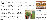Finnish artists and local children are making a mural about children's rights. Photo: Heli Konttinen are making a mural about children's rights. Photo: Minttu Sipola





#### **BAAAAVVVVAIIID**

### ATTRACTIVE RESIDENCES

## SUMU

*Since 2006, Artists' Association Arte has off ered international media artists 1—3 month long residencies in its media art residency Sumu. The residency program is meant for international media artists, working in the intersection of new technologies and contemporary art. The artists are provided with a studio adjoined to Arte's Gallery Titanik, and the accommodation is arranged in a nearby guesthouse by Åbo Akademi University. Transportation and other living expenses are not included in the program funding. The residency artists have the possibility to have an exhibition either in the Sumu studio or on Titanik's website, and they can arrange workshops or public screenings during the residency if they want to. International artists can apply for a residency at Sumu once a year with an individual submission. www.arte.fi* 

MAJALA RESIDENCE

*The Majala Inn, restored by the city of Salo, was opened for use in the year 2004 as the Majala Artists' Residence. The Majala Artists' Residence is administrated and is co-ordinated by Salo Art Museum. Majala was built in 1810 and is situated on the west side of Salo. The distance from the centre of Salo is two kilometres. Salo city (55.000 inhabitants) is located 50 kms from Turku and 115 from Helsinki. The Majala Artists' Residence includes premises for 1 - 4 month stays in the residence for two artists simultaneously and also the possibility for working in the Salo Artists' Association's graphics workshop situated in the building. Activities of the Majala Artists' Residence in Salo will increase and improve contacts between local artists and domestic and foreign guest artists. They will also promote interaction between artists and local people. A stay at Majala gives the artist a chance to work undisturbed, a quiet retreat. www.majala.fi* 

## ARTIST EXCHANGE

*Finnish-French artist exchange programme is a permanent co-operative project run by the Photographic Centre Peri, the Northern Photographic Centre, the Union of Artist Photographers and the Embassy of Finland in France. French partners involved in the project are Piece of Cake, Pole Image Haute Normandie, Centre Photographique d'Ile de France, Association Diaphane and the French Cultural Centre. The programme offers one Finnish photographer the chance of one month's residency in France, and, correspondingly, the same to a French photo grapher in Finland. www.peri.fi* 

### PERIODI

*Periodi is an international residency project for photographer artists and researchers of photographic art. In spring, an international photographer artist is enjoying a residency and in the autumn the artist will meet a researcher of art as a working partner. The aim of the autumn residency is the creation of an interactive relationship between an artist and an art researcher. www.peri.fi* 

# SAARI RESIDENCE

*Saari Residence is a manor owned and maintained by Kone Foundation as a research and production facility for researchers and artists. Interested applicants can apply for 2 to 3 month stays at the residence. In summertime the residence functions as a group residence. The residence has a wide range of workspaces, from a hall for theatre and dance to researchers' rooms and artists' studio. Saari Residence has capacity for 8 researchers and artists at any one time. For the group residences, larger numbers are possible.*  The residence also offers possibilities for family accommodation. Saari Residence has good connections with many different artists' *organizations and universities. Residence staff can assist the residents to find the possibilities for collaborative work which best suit their individual needs.*

*www.koneensaatio.fi /en/manor/*

### TAF TAF

*Turku Artists' Association has a communal residency in a suburb in Dakar. It is part of a co-operation project, which works for the general improvement of the poor neighbourhood. The residency is situated in the project's own cultural centre where the locals arrange literacy classes, other activities and run one of the few public libraries in Senegal.* 

*Residencies are open for Finnish and foreign artists and other professionals as well as for students of different fields. www.turuntaiteilijaseura.fi*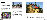#### **ADDIDICACCOOL** MWWOAT TROOP THE HO-

# FLUX AURA 2011

*—Flux Aura 2011 is an international environmental art event, which takes place in Turku by the Aura River in summer 2011. The event is part of the Turku 2011 European Capital of Culture. The art pieces of Flux Aura are connected to the Aura river – to running water, to the city, to life and nature around the river. The participants of the event are artists from Southwest Finland, who have chosen a partner to work with from either Finland or abroad. Flux Aura is linked to several other riverside cities around the world, in which the event is realized with the same format. The project's progress can be followed at the Live2011.com website. www.turuntaiteilijaseura.fi* 

> *—Living Room 306,4 km² is a city art festival arranged in Turku annually in early June by the Living Room Art Society. The festival lasts for four days, but some of the art works may stay in place longer. The site-specific and communal nature of the art pieces is important criteria in the selection of the works, and the call for applications is international. The number of realized art works varies from less than ten to around twenty depending on the year, and there are also club events and workshops arranged. For the duration of the festival Turku is transformed into a living room for the people, a space in which art is available to everyone with no entrance fees or borders. www.olohuone.org*



## LIFE ON A LEAF

*—The Finnish artist Jan-Erik Andersson's leaf shaped house Life on a Leaf, has been completed. The unique house, which functions as a home for Andersson's family in Turku, was first conceived in 1999. The house is the main part of Andersson's Doctorate in Fine Arts at the* 



Fluxations 2009: Tiina Valkeapää: Plastic globe



Antti Jussila and Jari Kallio participated Living Room 2008 with "Room"

# LIVING ROOM 306,4 KM<sup>2</sup>

*Academy of Fine Arts in Helsinki. In it Andersson imaginatively explores several issues which address the relationship between art and architecture, and between a house and its surroundings: Can you live in a picture* 

*or a sculpture?*